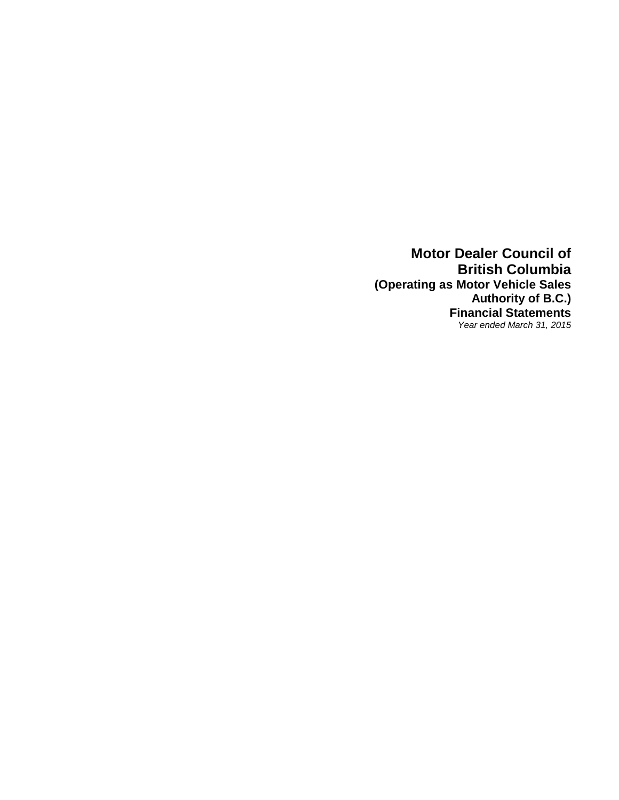**Motor Dealer Council of British Columbia (Operating as Motor Vehicle Sales Authority of B.C.) Financial Statements** *Year ended March 31, 2015*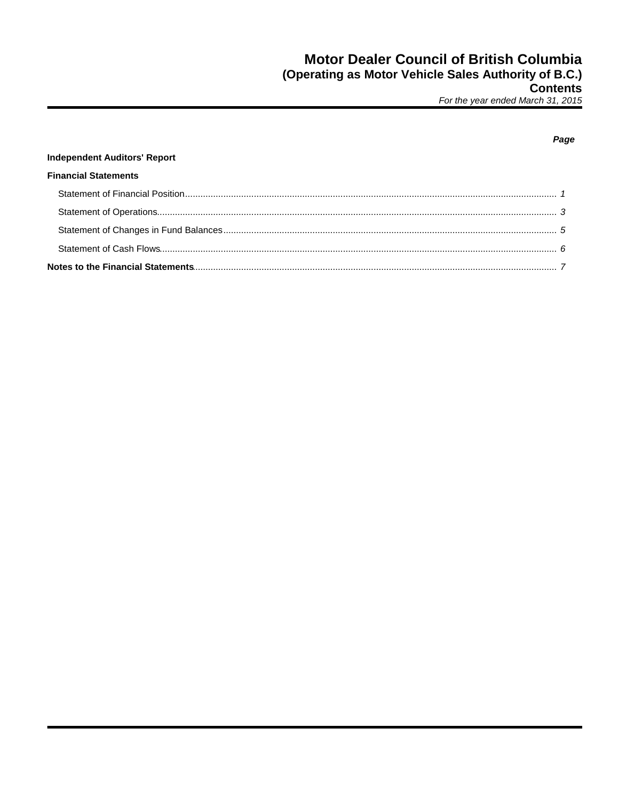### Page

### **Independent Auditors' Report**

### **Financial Statements**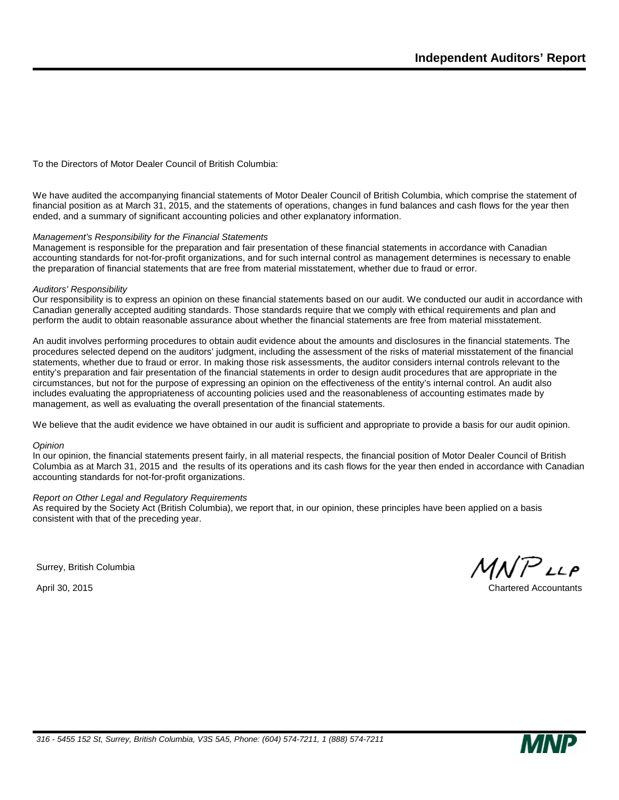To the Directors of Motor Dealer Council of British Columbia:

We have audited the accompanying financial statements of Motor Dealer Council of British Columbia, which comprise the statement of financial position as at March 31, 2015, and the statements of operations, changes in fund balances and cash flows for the year then ended, and a summary of significant accounting policies and other explanatory information.

### *Management's Responsibility for the Financial Statements*

Management is responsible for the preparation and fair presentation of these financial statements in accordance with Canadian accounting standards for not-for-profit organizations, and for such internal control as management determines is necessary to enable the preparation of financial statements that are free from material misstatement, whether due to fraud or error.

#### *Auditors' Responsibility*

Our responsibility is to express an opinion on these financial statements based on our audit. We conducted our audit in accordance with Canadian generally accepted auditing standards. Those standards require that we comply with ethical requirements and plan and perform the audit to obtain reasonable assurance about whether the financial statements are free from material misstatement.

An audit involves performing procedures to obtain audit evidence about the amounts and disclosures in the financial statements. The procedures selected depend on the auditors' judgment, including the assessment of the risks of material misstatement of the financial statements, whether due to fraud or error. In making those risk assessments, the auditor considers internal controls relevant to the entity's preparation and fair presentation of the financial statements in order to design audit procedures that are appropriate in the circumstances, but not for the purpose of expressing an opinion on the effectiveness of the entity's internal control. An audit also includes evaluating the appropriateness of accounting policies used and the reasonableness of accounting estimates made by management, as well as evaluating the overall presentation of the financial statements.

We believe that the audit evidence we have obtained in our audit is sufficient and appropriate to provide a basis for our audit opinion.

#### *Opinion*

In our opinion, the financial statements present fairly, in all material respects, the financial position of Motor Dealer Council of British Columbia as at March 31, 2015 and the results of its operations and its cash flows for the year then ended in accordance with Canadian accounting standards for not-for-profit organizations.

### *Report on Other Legal and Regulatory Requirements*

As required by the Society Act (British Columbia), we report that, in our opinion, these principles have been applied on a basis consistent with that of the preceding year.

Surrey, British Columbia

 $MNP$ LLP

April 30, 2015 Chartered Accountants

*316 - 5455 152 St, Surrey, British Columbia, V3S 5A5, Phone: (604) 574-7211, 1 (888) 574-7211*

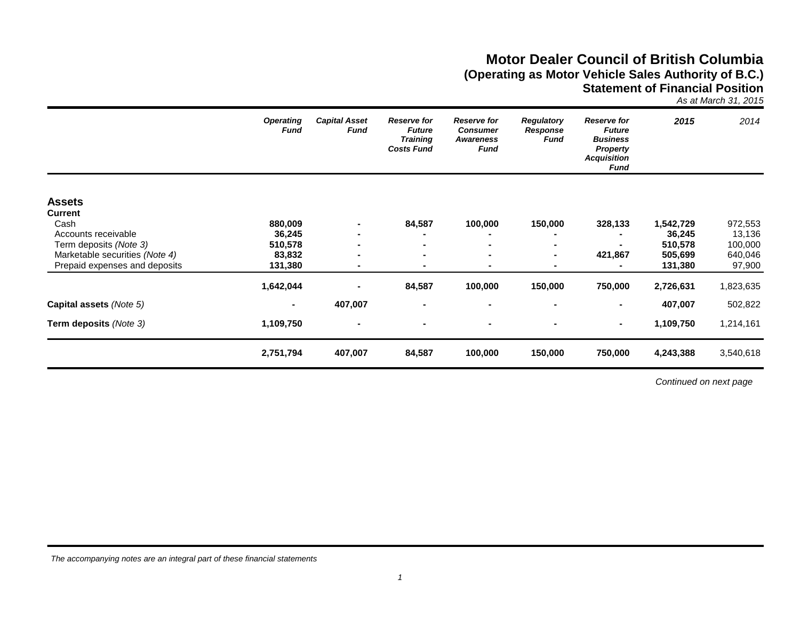## **Motor Dealer Council of British Columbia (Operating as Motor Vehicle Sales Authority of B.C.) Statement of Financial Position**

*As at March 31, 2015*

|                                                          | <b>Operating</b><br><b>Fund</b> | <b>Capital Asset</b><br><b>Fund</b> | <b>Reserve for</b><br><b>Future</b><br><b>Training</b><br><b>Costs Fund</b> | <b>Reserve for</b><br><b>Consumer</b><br><b>Awareness</b><br><b>Fund</b> | <b>Regulatory</b><br>Response<br>Fund | <b>Reserve for</b><br><b>Future</b><br><b>Business</b><br><b>Property</b><br><b>Acquisition</b><br>Fund | 2015               | 2014               |
|----------------------------------------------------------|---------------------------------|-------------------------------------|-----------------------------------------------------------------------------|--------------------------------------------------------------------------|---------------------------------------|---------------------------------------------------------------------------------------------------------|--------------------|--------------------|
| <b>Assets</b>                                            |                                 |                                     |                                                                             |                                                                          |                                       |                                                                                                         |                    |                    |
| <b>Current</b>                                           |                                 |                                     |                                                                             |                                                                          |                                       |                                                                                                         |                    |                    |
| Cash                                                     | 880,009                         |                                     | 84,587                                                                      | 100,000                                                                  | 150,000                               | 328,133                                                                                                 | 1,542,729          | 972,553            |
| Accounts receivable                                      | 36,245                          |                                     |                                                                             |                                                                          |                                       |                                                                                                         | 36,245             | 13,136             |
| Term deposits (Note 3)<br>Marketable securities (Note 4) | 510,578<br>83,832               |                                     | $\blacksquare$<br>$\blacksquare$                                            | $\blacksquare$<br>$\blacksquare$                                         | ۰<br>۰                                | 421,867                                                                                                 | 510,578<br>505,699 | 100,000<br>640,046 |
| Prepaid expenses and deposits                            | 131,380                         | $\blacksquare$                      | $\blacksquare$                                                              | $\blacksquare$                                                           | ۰.                                    |                                                                                                         | 131,380            | 97,900             |
|                                                          | 1,642,044                       |                                     | 84,587                                                                      | 100,000                                                                  | 150,000                               | 750,000                                                                                                 | 2,726,631          | 1,823,635          |
| Capital assets (Note 5)                                  |                                 | 407,007                             |                                                                             | $\blacksquare$                                                           |                                       |                                                                                                         | 407,007            | 502,822            |
| Term deposits (Note 3)                                   | 1,109,750                       | $\blacksquare$                      | $\blacksquare$                                                              | $\blacksquare$                                                           | ۰                                     | $\blacksquare$                                                                                          | 1,109,750          | 1,214,161          |
|                                                          | 2,751,794                       | 407,007                             | 84,587                                                                      | 100,000                                                                  | 150,000                               | 750,000                                                                                                 | 4,243,388          | 3,540,618          |

*Continued on next page*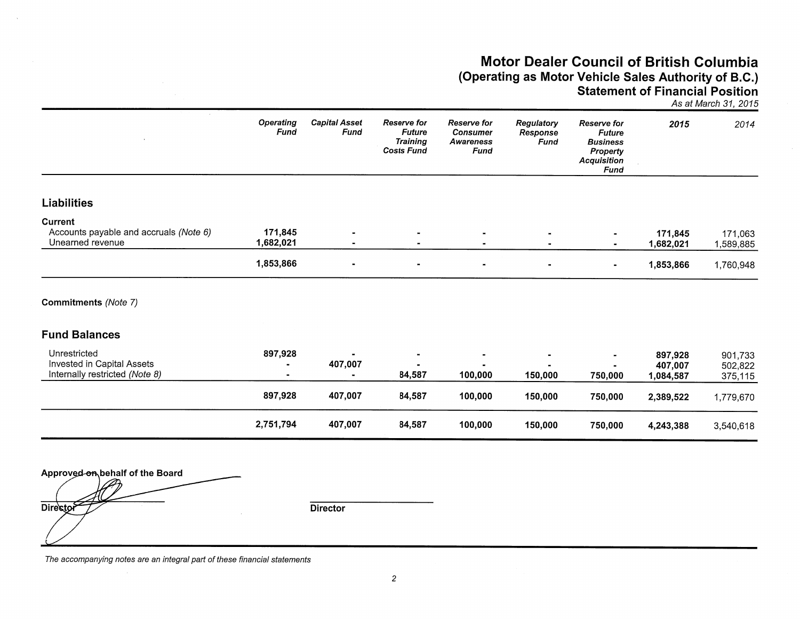## **Motor Dealer Council of British Columbia** (Operating as Motor Vehicle Sales Authority of B.C.) **Statement of Financial Position**

As at March 31, 2015

|                                                                              | <b>Operating</b><br>Fund | <b>Capital Asset</b><br>Fund     | <b>Reserve for</b><br><b>Future</b><br><b>Training</b><br><b>Costs Fund</b> | <b>Reserve for</b><br><b>Consumer</b><br><b>Awareness</b><br>Fund | <b>Regulatory</b><br>Response<br><b>Fund</b> | <b>Reserve for</b><br><b>Future</b><br><b>Business</b><br><b>Property</b><br><b>Acquisition</b><br><b>Fund</b> | 2015                            | 2014                          |
|------------------------------------------------------------------------------|--------------------------|----------------------------------|-----------------------------------------------------------------------------|-------------------------------------------------------------------|----------------------------------------------|----------------------------------------------------------------------------------------------------------------|---------------------------------|-------------------------------|
| <b>Liabilities</b>                                                           |                          |                                  |                                                                             |                                                                   |                                              |                                                                                                                |                                 |                               |
| Current<br>Accounts payable and accruals (Note 6)<br>Unearned revenue        | 171,845<br>1,682,021     | $\blacksquare$<br>$\blacksquare$ | $\blacksquare$                                                              |                                                                   | $\blacksquare$                               | $\blacksquare$                                                                                                 | 171,845<br>1,682,021            | 171,063<br>1,589,885          |
|                                                                              | 1,853,866                | $\blacksquare$                   | $\blacksquare$                                                              | $\blacksquare$                                                    | $\blacksquare$                               | $\blacksquare$                                                                                                 | 1,853,866                       | 1,760,948                     |
| <b>Commitments (Note 7)</b>                                                  |                          |                                  |                                                                             |                                                                   |                                              |                                                                                                                |                                 |                               |
| <b>Fund Balances</b>                                                         |                          |                                  |                                                                             |                                                                   |                                              |                                                                                                                |                                 |                               |
| Unrestricted<br>Invested in Capital Assets<br>Internally restricted (Note 8) | 897,928                  | 407,007<br>$\blacksquare$        | 84,587                                                                      | 100,000                                                           | 150,000                                      | 750,000                                                                                                        | 897,928<br>407,007<br>1,084,587 | 901,733<br>502,822<br>375,115 |
|                                                                              | 897,928                  | 407,007                          | 84,587                                                                      | 100,000                                                           | 150,000                                      | 750,000                                                                                                        | 2,389,522                       | 1,779,670                     |

84,587

100,000

150,000

750,000

4,243,388

3,540,618

Approved on behalf of the Board Director

**Director** 

407,007

2,751,794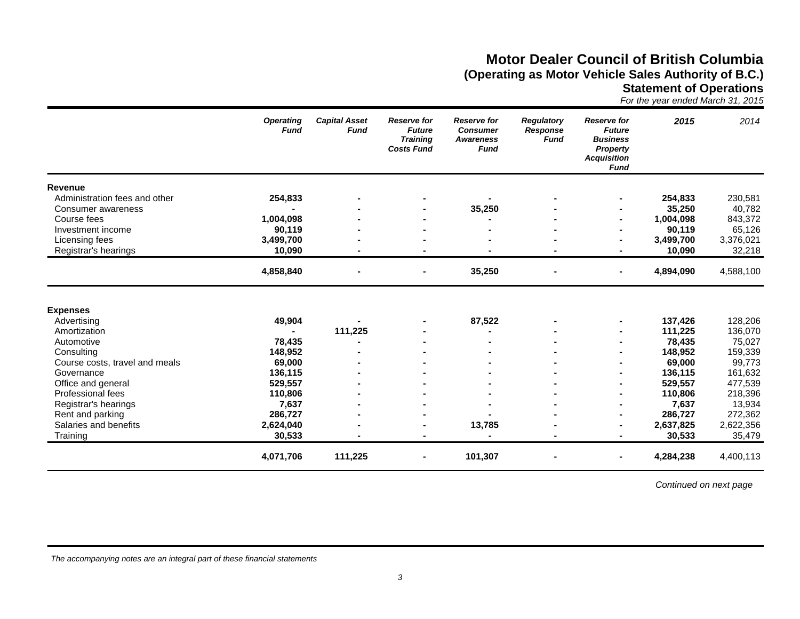# **Motor Dealer Council of British Columbia (Operating as Motor Vehicle Sales Authority of B.C.)**

**Statement of Operations**

| For the year ended March 31, 2015 |  |
|-----------------------------------|--|
|-----------------------------------|--|

|                                                                                                                            | <b>Operating</b><br><b>Fund</b>                  | <b>Capital Asset</b><br><b>Fund</b> | <b>Reserve for</b><br><b>Future</b><br><b>Training</b><br><b>Costs Fund</b> | <b>Reserve for</b><br><b>Consumer</b><br><b>Awareness</b><br><b>Fund</b> | <b>Regulatory</b><br><b>Response</b><br><b>Fund</b> | <b>Reserve for</b><br><b>Future</b><br><b>Business</b><br><b>Property</b><br><b>Acquisition</b><br><b>Fund</b> | 2015                                                         | 2014                                                         |
|----------------------------------------------------------------------------------------------------------------------------|--------------------------------------------------|-------------------------------------|-----------------------------------------------------------------------------|--------------------------------------------------------------------------|-----------------------------------------------------|----------------------------------------------------------------------------------------------------------------|--------------------------------------------------------------|--------------------------------------------------------------|
| Revenue                                                                                                                    |                                                  |                                     |                                                                             |                                                                          |                                                     |                                                                                                                |                                                              |                                                              |
| Administration fees and other                                                                                              | 254,833                                          |                                     |                                                                             |                                                                          |                                                     |                                                                                                                | 254,833                                                      | 230,581                                                      |
| Consumer awareness                                                                                                         |                                                  |                                     |                                                                             | 35,250                                                                   |                                                     |                                                                                                                | 35,250                                                       | 40,782                                                       |
| Course fees                                                                                                                | 1,004,098                                        |                                     |                                                                             |                                                                          |                                                     |                                                                                                                | 1,004,098                                                    | 843,372                                                      |
| Investment income                                                                                                          | 90,119                                           |                                     |                                                                             |                                                                          |                                                     |                                                                                                                | 90,119                                                       | 65,126                                                       |
| Licensing fees                                                                                                             | 3,499,700                                        |                                     |                                                                             |                                                                          |                                                     |                                                                                                                | 3,499,700                                                    | 3,376,021                                                    |
| Registrar's hearings                                                                                                       | 10,090                                           |                                     |                                                                             |                                                                          |                                                     |                                                                                                                | 10,090                                                       | 32,218                                                       |
|                                                                                                                            | 4,858,840                                        |                                     |                                                                             | 35,250                                                                   |                                                     | ۰                                                                                                              | 4,894,090                                                    | 4,588,100                                                    |
| <b>Expenses</b><br>Advertising<br>Amortization<br>Automotive<br>Consulting<br>Course costs, travel and meals<br>Governance | 49,904<br>78,435<br>148,952<br>69,000<br>136,115 | 111,225                             |                                                                             | 87,522                                                                   |                                                     |                                                                                                                | 137,426<br>111,225<br>78,435<br>148,952<br>69,000<br>136,115 | 128,206<br>136,070<br>75,027<br>159,339<br>99,773<br>161,632 |
| Office and general                                                                                                         | 529,557                                          |                                     |                                                                             |                                                                          |                                                     |                                                                                                                | 529,557                                                      | 477,539                                                      |
| Professional fees                                                                                                          | 110,806                                          |                                     |                                                                             |                                                                          |                                                     |                                                                                                                | 110,806                                                      | 218,396                                                      |
| Registrar's hearings                                                                                                       | 7,637                                            |                                     |                                                                             |                                                                          |                                                     |                                                                                                                | 7,637                                                        | 13,934                                                       |
| Rent and parking                                                                                                           | 286,727                                          |                                     |                                                                             |                                                                          |                                                     |                                                                                                                | 286,727                                                      | 272,362                                                      |
| Salaries and benefits                                                                                                      | 2,624,040                                        |                                     |                                                                             | 13,785                                                                   |                                                     |                                                                                                                | 2,637,825                                                    | 2,622,356                                                    |
| Training                                                                                                                   | 30,533                                           |                                     |                                                                             |                                                                          |                                                     |                                                                                                                | 30,533                                                       | 35,479                                                       |
|                                                                                                                            | 4,071,706                                        | 111,225                             | $\blacksquare$                                                              | 101,307                                                                  |                                                     | ۰                                                                                                              | 4,284,238                                                    | 4,400,113                                                    |

*Continued on next page*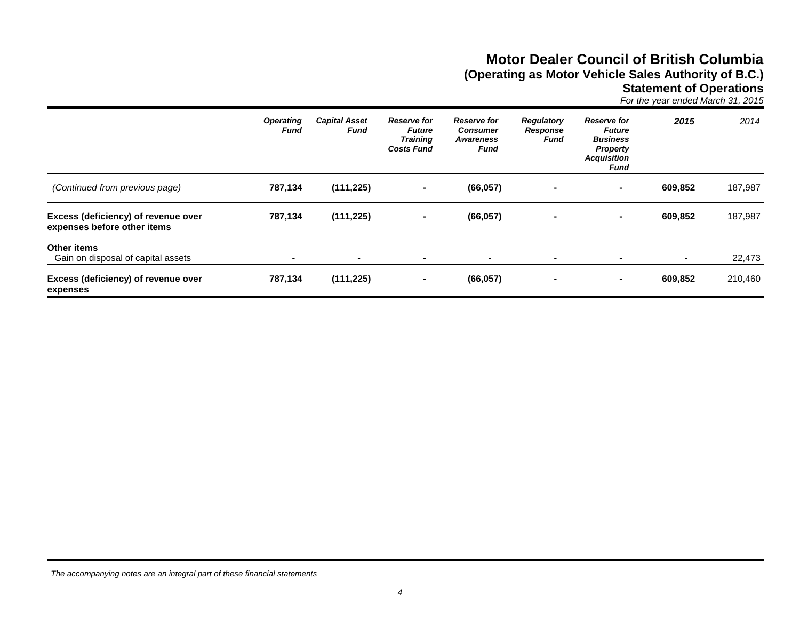# **Motor Dealer Council of British Columbia (Operating as Motor Vehicle Sales Authority of B.C.)**

**Statement of Operations**

*For the year ended March 31, 2015*

|                                                                    | <b>Operating</b><br>Fund | <b>Capital Asset</b><br>Fund | <b>Reserve for</b><br><b>Future</b><br><b>Training</b><br><b>Costs Fund</b> | <b>Reserve for</b><br><b>Consumer</b><br><b>Awareness</b><br>Fund | <b>Regulatory</b><br>Response<br>Fund | <b>Reserve for</b><br><b>Future</b><br><b>Business</b><br><b>Property</b><br><b>Acquisition</b><br>Fund | 2015    | 2014    |
|--------------------------------------------------------------------|--------------------------|------------------------------|-----------------------------------------------------------------------------|-------------------------------------------------------------------|---------------------------------------|---------------------------------------------------------------------------------------------------------|---------|---------|
| (Continued from previous page)                                     | 787,134                  | (111, 225)                   | $\blacksquare$                                                              | (66, 057)                                                         |                                       | ۰.                                                                                                      | 609.852 | 187,987 |
| Excess (deficiency) of revenue over<br>expenses before other items | 787,134                  | (111, 225)                   | $\blacksquare$                                                              | (66, 057)                                                         |                                       |                                                                                                         | 609,852 | 187,987 |
| Other items<br>Gain on disposal of capital assets                  |                          | $\blacksquare$               | $\blacksquare$                                                              |                                                                   | $\blacksquare$                        |                                                                                                         |         | 22,473  |
| Excess (deficiency) of revenue over<br>expenses                    | 787,134                  | (111, 225)                   | $\blacksquare$                                                              | (66, 057)                                                         |                                       | ۰.                                                                                                      | 609,852 | 210,460 |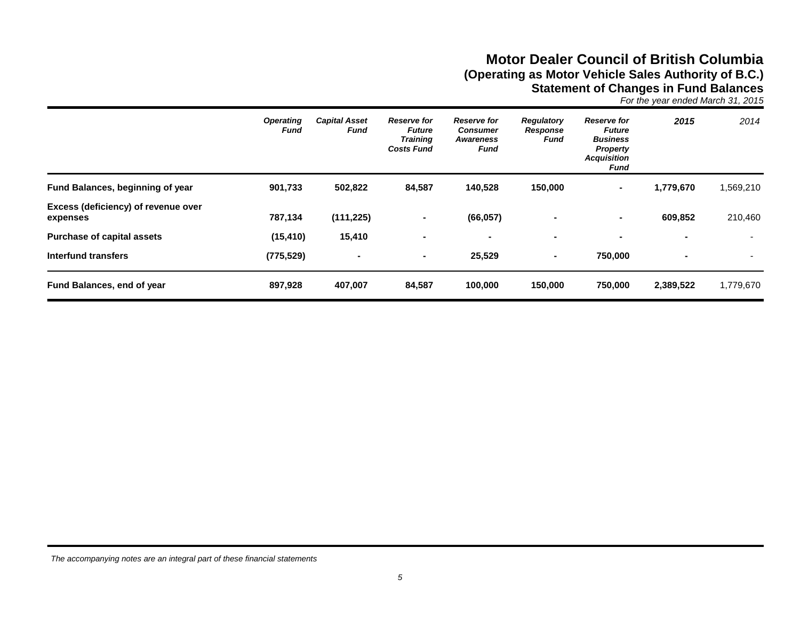# **Motor Dealer Council of British Columbia (Operating as Motor Vehicle Sales Authority of B.C.) Statement of Changes in Fund Balances**

*For the year ended March 31, 2015*

|                                                 | <b>Operating</b><br>Fund | <b>Capital Asset</b><br>Fund | <b>Reserve for</b><br><b>Future</b><br><b>Training</b><br><b>Costs Fund</b> | <b>Reserve for</b><br><b>Consumer</b><br>Awareness<br>Fund | <b>Regulatory</b><br>Response<br>Fund | <b>Reserve for</b><br><b>Future</b><br><b>Business</b><br><b>Property</b><br><b>Acquisition</b><br>Fund | 2015      | 2014                     |
|-------------------------------------------------|--------------------------|------------------------------|-----------------------------------------------------------------------------|------------------------------------------------------------|---------------------------------------|---------------------------------------------------------------------------------------------------------|-----------|--------------------------|
| Fund Balances, beginning of year                | 901,733                  | 502,822                      | 84,587                                                                      | 140,528                                                    | 150,000                               | $\sim$                                                                                                  | 1,779,670 | 1,569,210                |
| Excess (deficiency) of revenue over<br>expenses | 787,134                  | (111, 225)                   | $\blacksquare$                                                              | (66, 057)                                                  |                                       | $\blacksquare$                                                                                          | 609,852   | 210,460                  |
| <b>Purchase of capital assets</b>               | (15, 410)                | 15,410                       | $\blacksquare$                                                              | $\blacksquare$                                             | $\blacksquare$                        | $\blacksquare$                                                                                          |           |                          |
| Interfund transfers                             | (775, 529)               | $\blacksquare$               | $\sim$                                                                      | 25,529                                                     | $\blacksquare$                        | 750,000                                                                                                 |           | $\overline{\phantom{0}}$ |
| <b>Fund Balances, end of year</b>               | 897,928                  | 407,007                      | 84,587                                                                      | 100,000                                                    | 150,000                               | 750,000                                                                                                 | 2,389,522 | 1,779,670                |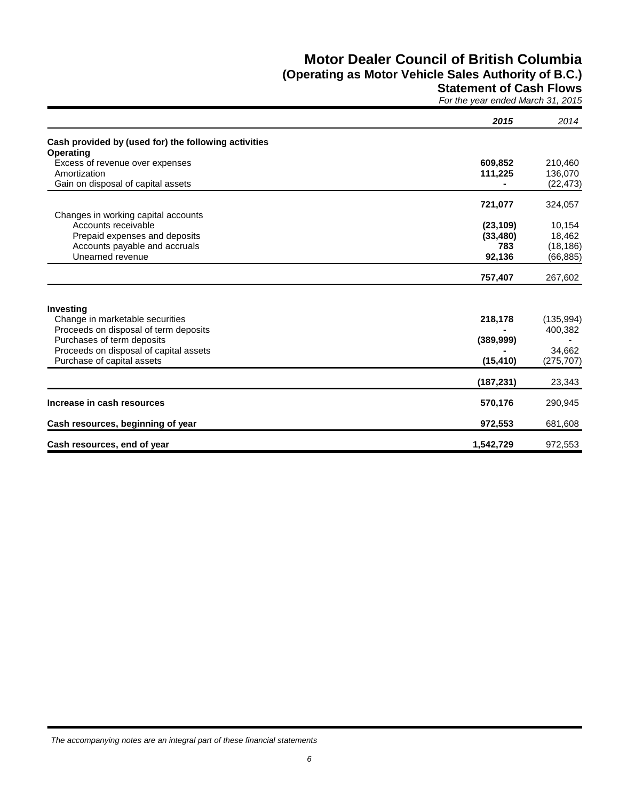# **Motor Dealer Council of British Columbia**

# **(Operating as Motor Vehicle Sales Authority of B.C.)**

### **Statement of Cash Flows**

*For the year ended March 31, 2015*

|                                                      | 2015       | 2014       |
|------------------------------------------------------|------------|------------|
| Cash provided by (used for) the following activities |            |            |
| <b>Operating</b>                                     |            |            |
| Excess of revenue over expenses                      | 609,852    | 210,460    |
| Amortization                                         | 111,225    | 136,070    |
| Gain on disposal of capital assets                   |            | (22, 473)  |
|                                                      | 721,077    | 324,057    |
| Changes in working capital accounts                  |            |            |
| Accounts receivable                                  | (23, 109)  | 10,154     |
| Prepaid expenses and deposits                        | (33, 480)  | 18,462     |
| Accounts payable and accruals                        | 783        | (18, 186)  |
| Unearned revenue                                     | 92,136     | (66, 885)  |
|                                                      | 757,407    | 267,602    |
|                                                      |            |            |
| Investing                                            |            |            |
| Change in marketable securities                      | 218,178    | (135, 994) |
| Proceeds on disposal of term deposits                |            | 400,382    |
| Purchases of term deposits                           | (389, 999) |            |
| Proceeds on disposal of capital assets               |            | 34,662     |
| Purchase of capital assets                           | (15, 410)  | (275, 707) |
|                                                      | (187, 231) | 23,343     |
|                                                      |            |            |
| Increase in cash resources                           | 570,176    | 290,945    |
| Cash resources, beginning of year                    | 972,553    | 681,608    |
| Cash resources, end of year                          | 1,542,729  | 972,553    |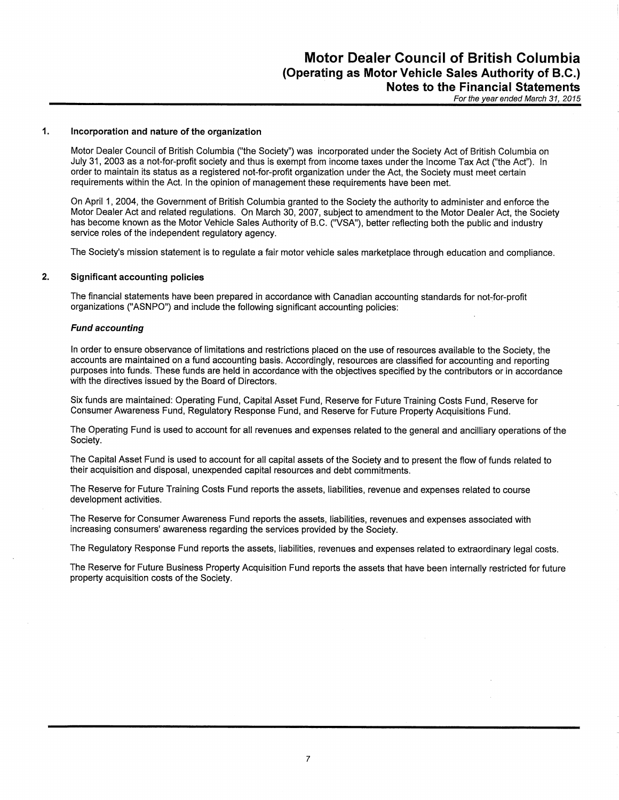#### $\mathbf{1}$ Incorporation and nature of the organization

Motor Dealer Council of British Columbia ("the Society") was incorporated under the Society Act of British Columbia on July 31, 2003 as a not-for-profit society and thus is exempt from income taxes under the Income Tax Act ("the Act"). In order to maintain its status as a registered not-for-profit organization under the Act, the Society must meet certain requirements within the Act. In the opinion of management these requirements have been met.

On April 1, 2004, the Government of British Columbia granted to the Society the authority to administer and enforce the Motor Dealer Act and related regulations. On March 30, 2007, subject to amendment to the Motor Dealer Act, the Society has become known as the Motor Vehicle Sales Authority of B.C. ("VSA"), better reflecting both the public and industry service roles of the independent regulatory agency.

The Society's mission statement is to regulate a fair motor vehicle sales marketplace through education and compliance.

#### $2.$ **Significant accounting policies**

The financial statements have been prepared in accordance with Canadian accounting standards for not-for-profit organizations ("ASNPO") and include the following significant accounting policies:

#### **Fund accounting**

In order to ensure observance of limitations and restrictions placed on the use of resources available to the Society, the accounts are maintained on a fund accounting basis. Accordingly, resources are classified for accounting and reporting purposes into funds. These funds are held in accordance with the objectives specified by the contributors or in accordance with the directives issued by the Board of Directors.

Six funds are maintained: Operating Fund, Capital Asset Fund, Reserve for Future Training Costs Fund, Reserve for Consumer Awareness Fund, Regulatory Response Fund, and Reserve for Future Property Acquisitions Fund.

The Operating Fund is used to account for all revenues and expenses related to the general and ancilliary operations of the Society.

The Capital Asset Fund is used to account for all capital assets of the Society and to present the flow of funds related to their acquisition and disposal, unexpended capital resources and debt commitments.

The Reserve for Future Training Costs Fund reports the assets, liabilities, revenue and expenses related to course development activities.

The Reserve for Consumer Awareness Fund reports the assets, liabilities, revenues and expenses associated with increasing consumers' awareness regarding the services provided by the Society.

The Regulatory Response Fund reports the assets, liabilities, revenues and expenses related to extraordinary legal costs.

The Reserve for Future Business Property Acquisition Fund reports the assets that have been internally restricted for future property acquisition costs of the Society.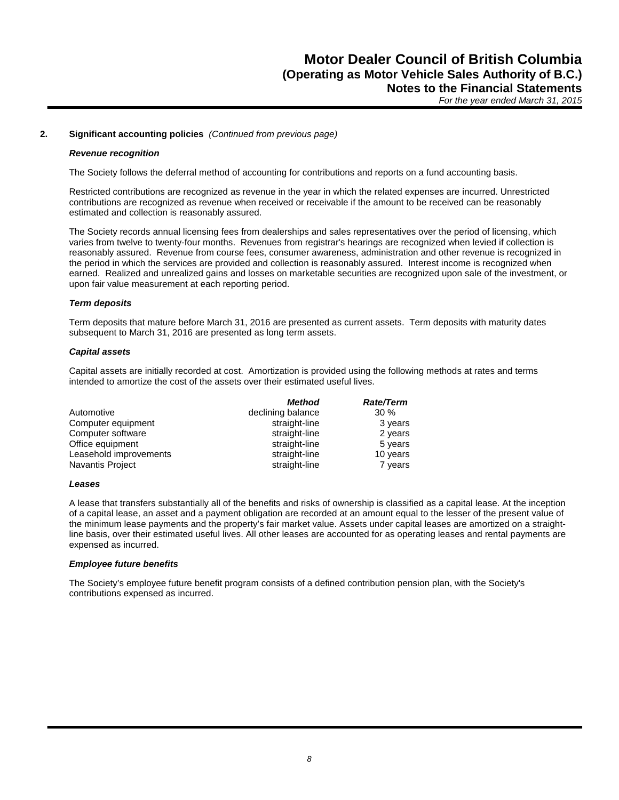#### **2. Significant accounting policies** *(Continued from previous page)*

#### *Revenue recognition*

The Society follows the deferral method of accounting for contributions and reports on a fund accounting basis.

Restricted contributions are recognized as revenue in the year in which the related expenses are incurred. Unrestricted contributions are recognized as revenue when received or receivable if the amount to be received can be reasonably estimated and collection is reasonably assured.

The Society records annual licensing fees from dealerships and sales representatives over the period of licensing, which varies from twelve to twenty-four months. Revenues from registrar's hearings are recognized when levied if collection is reasonably assured. Revenue from course fees, consumer awareness, administration and other revenue is recognized in the period in which the services are provided and collection is reasonably assured. Interest income is recognized when earned. Realized and unrealized gains and losses on marketable securities are recognized upon sale of the investment, or upon fair value measurement at each reporting period.

#### *Term deposits*

Term deposits that mature before March 31, 2016 are presented as current assets. Term deposits with maturity dates subsequent to March 31, 2016 are presented as long term assets.

#### *Capital assets*

Capital assets are initially recorded at cost. Amortization is provided using the following methods at rates and terms intended to amortize the cost of the assets over their estimated useful lives.

|                        | <b>Method</b>     | <b>Rate/Term</b> |
|------------------------|-------------------|------------------|
| Automotive             | declining balance | $30\%$           |
| Computer equipment     | straight-line     | 3 years          |
| Computer software      | straight-line     | 2 years          |
| Office equipment       | straight-line     | 5 years          |
| Leasehold improvements | straight-line     | 10 years         |
| Navantis Project       | straight-line     | 7 years          |

#### *Leases*

A lease that transfers substantially all of the benefits and risks of ownership is classified as a capital lease. At the inception of a capital lease, an asset and a payment obligation are recorded at an amount equal to the lesser of the present value of the minimum lease payments and the property's fair market value. Assets under capital leases are amortized on a straightline basis, over their estimated useful lives. All other leases are accounted for as operating leases and rental payments are expensed as incurred.

### *Employee future benefits*

The Society's employee future benefit program consists of a defined contribution pension plan, with the Society's contributions expensed as incurred.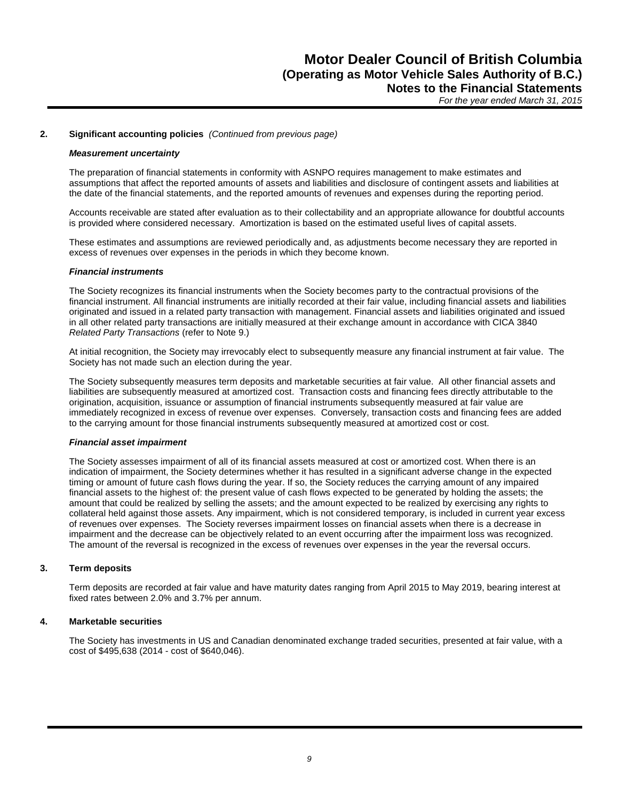#### **2. Significant accounting policies** *(Continued from previous page)*

#### *Measurement uncertainty*

The preparation of financial statements in conformity with ASNPO requires management to make estimates and assumptions that affect the reported amounts of assets and liabilities and disclosure of contingent assets and liabilities at the date of the financial statements, and the reported amounts of revenues and expenses during the reporting period.

Accounts receivable are stated after evaluation as to their collectability and an appropriate allowance for doubtful accounts is provided where considered necessary. Amortization is based on the estimated useful lives of capital assets.

These estimates and assumptions are reviewed periodically and, as adjustments become necessary they are reported in excess of revenues over expenses in the periods in which they become known.

#### *Financial instruments*

The Society recognizes its financial instruments when the Society becomes party to the contractual provisions of the financial instrument. All financial instruments are initially recorded at their fair value, including financial assets and liabilities originated and issued in a related party transaction with management. Financial assets and liabilities originated and issued in all other related party transactions are initially measured at their exchange amount in accordance with CICA 3840 *Related Party Transactions* (refer to Note 9.)

At initial recognition, the Society may irrevocably elect to subsequently measure any financial instrument at fair value. The Society has not made such an election during the year.

The Society subsequently measures term deposits and marketable securities at fair value. All other financial assets and liabilities are subsequently measured at amortized cost. Transaction costs and financing fees directly attributable to the origination, acquisition, issuance or assumption of financial instruments subsequently measured at fair value are immediately recognized in excess of revenue over expenses. Conversely, transaction costs and financing fees are added to the carrying amount for those financial instruments subsequently measured at amortized cost or cost.

#### *Financial asset impairment*

The Society assesses impairment of all of its financial assets measured at cost or amortized cost. When there is an indication of impairment, the Society determines whether it has resulted in a significant adverse change in the expected timing or amount of future cash flows during the year. If so, the Society reduces the carrying amount of any impaired financial assets to the highest of: the present value of cash flows expected to be generated by holding the assets; the amount that could be realized by selling the assets; and the amount expected to be realized by exercising any rights to collateral held against those assets. Any impairment, which is not considered temporary, is included in current year excess of revenues over expenses. The Society reverses impairment losses on financial assets when there is a decrease in impairment and the decrease can be objectively related to an event occurring after the impairment loss was recognized. The amount of the reversal is recognized in the excess of revenues over expenses in the year the reversal occurs.

### **3. Term deposits**

Term deposits are recorded at fair value and have maturity dates ranging from April 2015 to May 2019, bearing interest at fixed rates between 2.0% and 3.7% per annum.

### **4. Marketable securities**

The Society has investments in US and Canadian denominated exchange traded securities, presented at fair value, with a cost of \$495,638 (2014 - cost of \$640,046).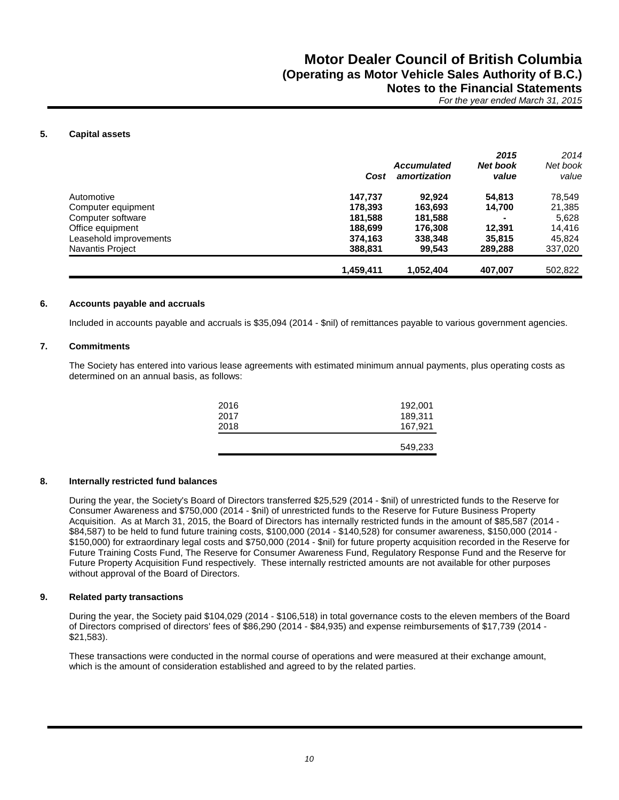### **5. Capital assets**

|                         |           |                    | 2015     | 2014     |
|-------------------------|-----------|--------------------|----------|----------|
|                         |           | <b>Accumulated</b> | Net book | Net book |
|                         | Cost      | amortization       | value    | value    |
| Automotive              | 147,737   | 92.924             | 54,813   | 78,549   |
| Computer equipment      | 178.393   | 163.693            | 14.700   | 21,385   |
| Computer software       | 181,588   | 181,588            |          | 5,628    |
| Office equipment        | 188.699   | 176,308            | 12.391   | 14.416   |
| Leasehold improvements  | 374.163   | 338,348            | 35,815   | 45.824   |
| <b>Navantis Project</b> | 388,831   | 99.543             | 289,288  | 337,020  |
|                         | 1,459,411 | 1,052,404          | 407,007  | 502,822  |

### **6. Accounts payable and accruals**

Included in accounts payable and accruals is \$35,094 (2014 - \$nil) of remittances payable to various government agencies.

### **7. Commitments**

The Society has entered into various lease agreements with estimated minimum annual payments, plus operating costs as determined on an annual basis, as follows:

|      | 549,233 |
|------|---------|
| 2018 | 167,921 |
| 2017 | 189,311 |
| 2016 | 192,001 |
|      |         |

### **8. Internally restricted fund balances**

During the year, the Society's Board of Directors transferred \$25,529 (2014 - \$nil) of unrestricted funds to the Reserve for Consumer Awareness and \$750,000 (2014 - \$nil) of unrestricted funds to the Reserve for Future Business Property Acquisition. As at March 31, 2015, the Board of Directors has internally restricted funds in the amount of \$85,587 (2014 - \$84,587) to be held to fund future training costs, \$100,000 (2014 - \$140,528) for consumer awareness, \$150,000 (2014 - \$150,000) for extraordinary legal costs and \$750,000 (2014 - \$nil) for future property acquisition recorded in the Reserve for Future Training Costs Fund, The Reserve for Consumer Awareness Fund, Regulatory Response Fund and the Reserve for Future Property Acquisition Fund respectively. These internally restricted amounts are not available for other purposes without approval of the Board of Directors.

### **9. Related party transactions**

During the year, the Society paid \$104,029 (2014 - \$106,518) in total governance costs to the eleven members of the Board of Directors comprised of directors' fees of \$86,290 (2014 - \$84,935) and expense reimbursements of \$17,739 (2014 - \$21,583).

These transactions were conducted in the normal course of operations and were measured at their exchange amount, which is the amount of consideration established and agreed to by the related parties.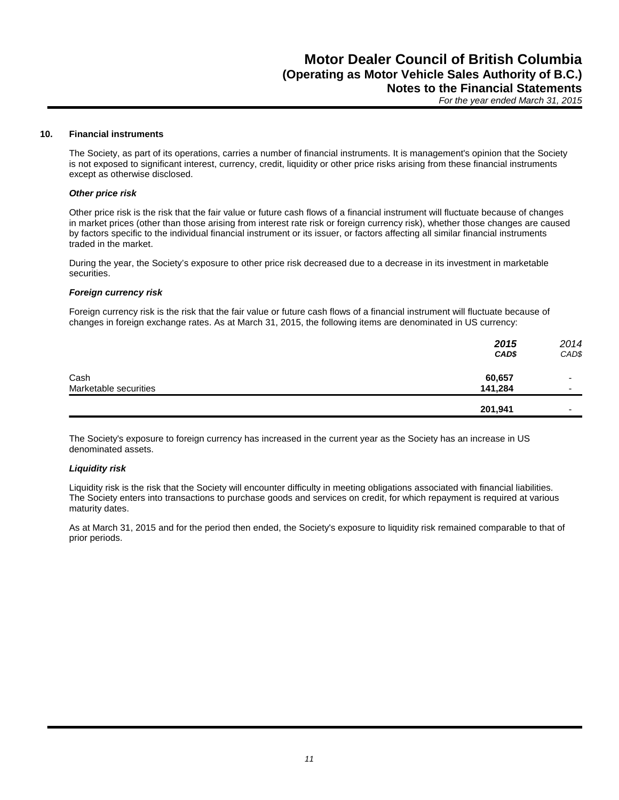#### **10. Financial instruments**

The Society, as part of its operations, carries a number of financial instruments. It is management's opinion that the Society is not exposed to significant interest, currency, credit, liquidity or other price risks arising from these financial instruments except as otherwise disclosed.

#### *Other price risk*

Other price risk is the risk that the fair value or future cash flows of a financial instrument will fluctuate because of changes in market prices (other than those arising from interest rate risk or foreign currency risk), whether those changes are caused by factors specific to the individual financial instrument or its issuer, or factors affecting all similar financial instruments traded in the market.

During the year, the Society's exposure to other price risk decreased due to a decrease in its investment in marketable securities.

#### *Foreign currency risk*

Foreign currency risk is the risk that the fair value or future cash flows of a financial instrument will fluctuate because of changes in foreign exchange rates. As at March 31, 2015, the following items are denominated in US currency:

|                       | 2015<br>CAD\$ | 2014<br>CAD\$            |
|-----------------------|---------------|--------------------------|
| Cash                  | 60,657        | -                        |
| Marketable securities | 141,284       | $\overline{\phantom{0}}$ |
|                       | 201,941       | $\overline{\phantom{0}}$ |

The Society's exposure to foreign currency has increased in the current year as the Society has an increase in US denominated assets.

#### *Liquidity risk*

Liquidity risk is the risk that the Society will encounter difficulty in meeting obligations associated with financial liabilities. The Society enters into transactions to purchase goods and services on credit, for which repayment is required at various maturity dates.

As at March 31, 2015 and for the period then ended, the Society's exposure to liquidity risk remained comparable to that of prior periods.